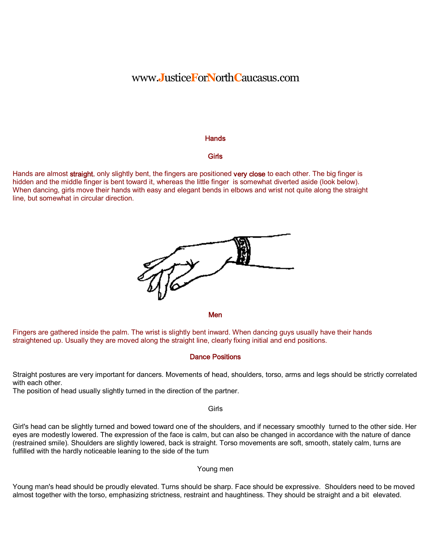## www.**J**ustice**F**or**N**orth**C**aucasus.com

#### **Hands**

#### **Girls**

Hands are almost straight, only slightly bent, the fingers are positioned very close to each other. The big finger is hidden and the middle finger is bent toward it, whereas the little finger is somewhat diverted aside (look below). When dancing, girls move their hands with easy and elegant bends in elbows and wrist not quite along the straight line, but somewhat in circular direction.



**Men** 

Fingers are gathered inside the palm. The wrist is slightly bent inward. When dancing guys usually have their hands straightened up. Usually they are moved along the straight line, clearly fixing initial and end positions.

#### Dance Positions

Straight postures are very important for dancers. Movements of head, shoulders, torso, arms and legs should be strictly correlated with each other.

The position of head usually slightly turned in the direction of the partner.

Girls

Girl's head can be slightly turned and bowed toward one of the shoulders, and if necessary smoothly turned to the other side. Her eyes are modestly lowered. The expression of the face is calm, but can also be changed in accordance with the nature of dance (restrained smile). Shoulders are slightly lowered, back is straight. Torso movements are soft, smooth, stately calm, turns are fulfilled with the hardly noticeable leaning to the side of the turn

#### Young men

Young man's head should be proudly elevated. Turns should be sharp. Face should be expressive. Shoulders need to be moved almost together with the torso, emphasizing strictness, restraint and haughtiness. They should be straight and a bit elevated.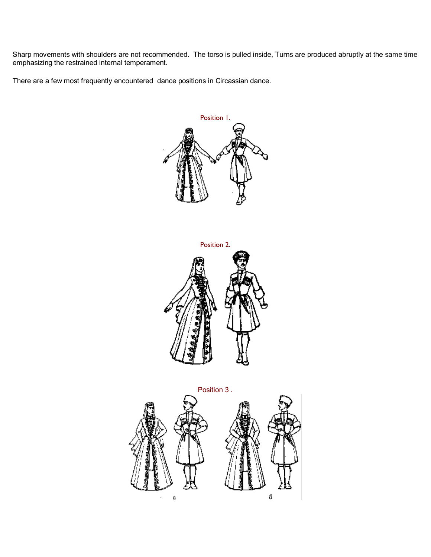Sharp movements with shoulders are not recommended. The torso is pulled inside, Turns are produced abruptly at the same time emphasizing the restrained internal temperament.

There are a few most frequently encountered dance positions in Circassian dance.





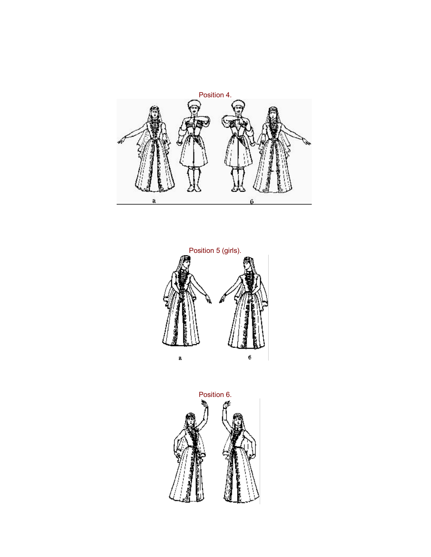



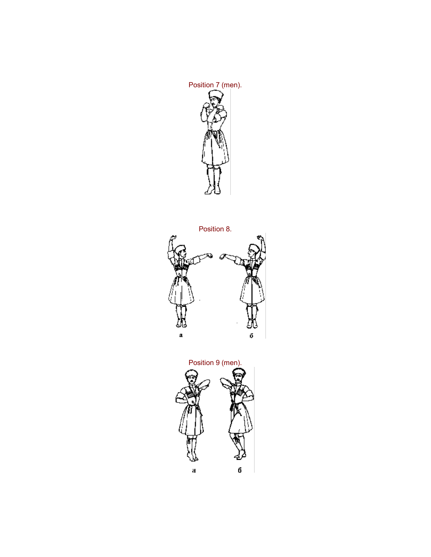



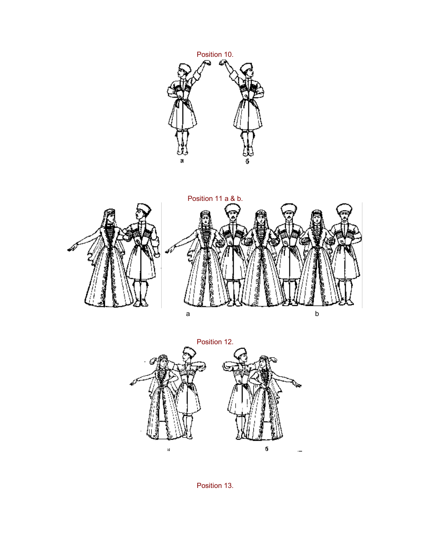



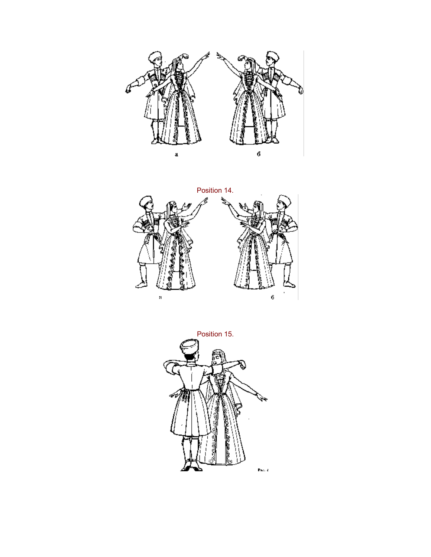



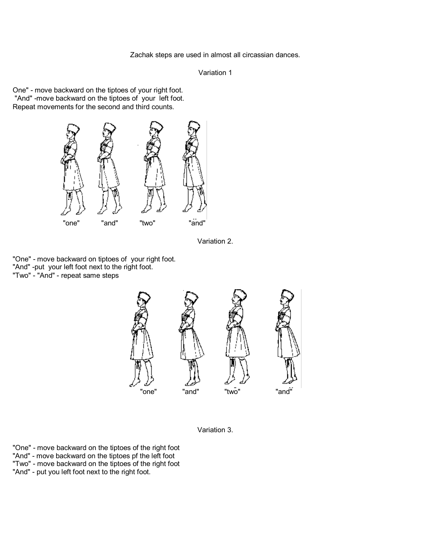Zachak steps are used in almost all circassian dances.

```
Variation 1
```
One" - move backward on the tiptoes of your right foot. "And" move backward on the tiptoes of your left foot. Repeat movements for the second and third counts.



Variation 2.

"One" - move backward on tiptoes of your right foot. "And" -put your left foot next to the right foot. "Two" - "And" - repeat same steps





"One" - move backward on the tiptoes of the right foot "And" - move backward on the tiptoes pf the left foot "Two" move backward on the tiptoes of the right foot "And" - put you left foot next to the right foot.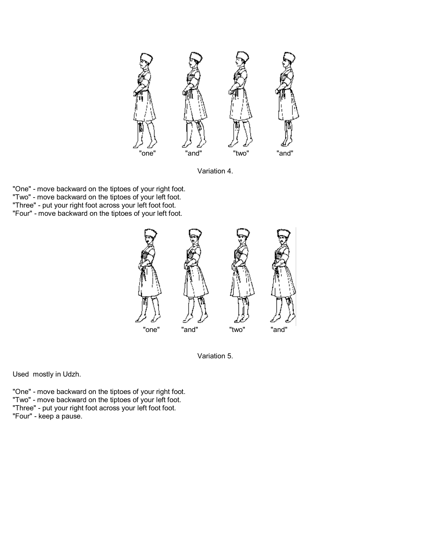

Variation 4.

"One" - move backward on the tiptoes of your right foot. "Two" - move backward on the tiptoes of your left foot. "Three" - put your right foot across your left foot foot. "Four" - move backward on the tiptoes of your left foot.





Used mostly in Udzh.

"One" - move backward on the tiptoes of your right foot. "Two" - move backward on the tiptoes of your left foot. "Three" - put your right foot across your left foot foot. "Four" - keep a pause.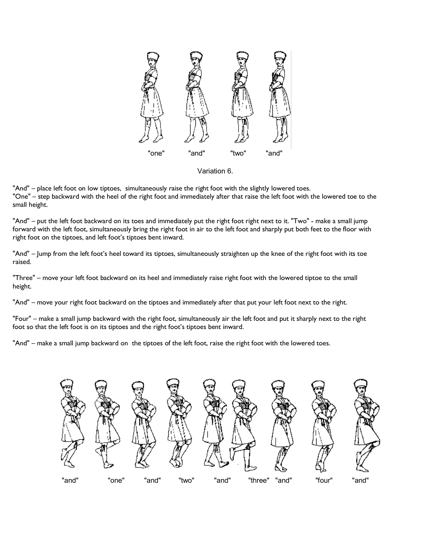

Variation 6.

"And" – place left foot on low tiptoes, simultaneously raise the right foot with the slightly lowered toes. "One" – step backward with the heel of the right foot and immediately after that raise the left foot with the lowered toe to the small height.

"And" – put the left foot backward on its toes and immediately put the right foot right next to it. "Two" - make a small jump forward with the left foot, simultaneously bring the right foot in air to the left foot and sharply put both feet to the floor with right foot on the tiptoes, and left foot's tiptoes bent inward.

"And" – Jump from the left foot's heel toward its tiptoes, simultaneously straighten up the knee of the right foot with its toe raised.

"Three" – move your left foot backward on its heel and immediately raise right foot with the lowered tiptoe to the small height.

"And" – move your right foot backward on the tiptoes and immediately after that put your left foot next to the right.

"Four" – make a small jump backward with the right foot, simultaneously air the left foot and put it sharply next to the right foot so that the left foot is on its tiptoes and the right foot's tiptoes bent inward.

"And" – make a small jump backward on the tiptoes of the left foot, raise the right foot with the lowered toes.

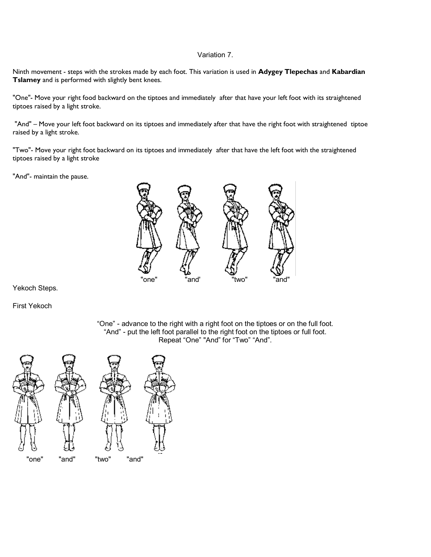#### Variation 7.

Ninth movement - steps with the strokes made by each foot. This variation is used in **Adygey Tlepechas** and **Kabardian Tslamey** and is performed with slightly bent knees.

"One"- Move your right food backward on the tiptoes and immediately after that have your left foot with its straightened tiptoes raised by a light stroke.

"And" – Move your left foot backward on its tiptoes and immediately after that have the right foot with straightened tiptoe raised by a light stroke.

"Two"- Move your right foot backward on its tiptoes and immediately after that have the left foot with the straightened tiptoes raised by a light stroke

"And"- maintain the pause.



Yekoch Steps.

First Yekoch

"One" advance to the right with a right foot on the tiptoes or on the full foot. "And" - put the left foot parallel to the right foot on the tiptoes or full foot. Repeat "One" "And" for "Two" "And".

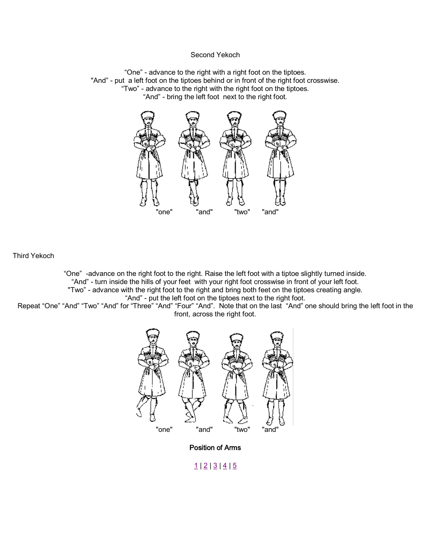#### Second Yekoch

"One" - advance to the right with a right foot on the tiptoes. "And" - put a left foot on the tiptoes behind or in front of the right foot crosswise. "Two" advance to the right with the right foot on the tiptoes. "And" - bring the left foot next to the right foot.



Third Yekoch

"One" advance on the right foot to the right. Raise the left foot with a tiptoe slightly turned inside. "And" - turn inside the hills of your feet with your right foot crosswise in front of your left foot. "Two" - advance with the right foot to the right and bring both feet on the tiptoes creating angle.

"And" - put the left foot on the tiptoes next to the right foot.

Repeat "One" "And" "Two" "And" for "Three" "And" "Four" "And". Note that on the last "And" one should bring the left foot in the front, across the right foot.



Position of Arms

### $1 | 2 | 3 | 4 | 5$  $1 | 2 | 3 | 4 | 5$  $1 | 2 | 3 | 4 | 5$  $1 | 2 | 3 | 4 | 5$  $1 | 2 | 3 | 4 | 5$  $1 | 2 | 3 | 4 | 5$  $1 | 2 | 3 | 4 | 5$  $1 | 2 | 3 | 4 | 5$  $1 | 2 | 3 | 4 | 5$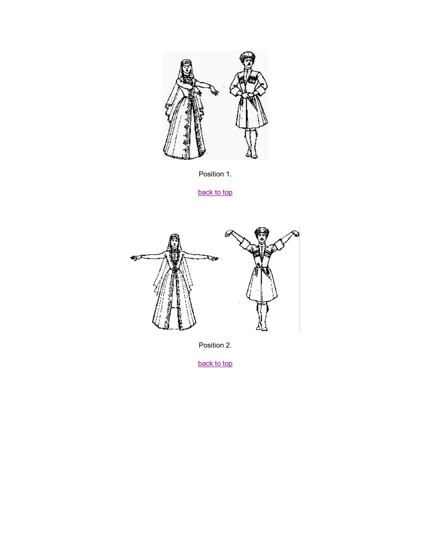



[back to](http://adighastory.tripod.com/dance/positionhands.htm) top



Position 2.

[back to](http://adighastory.tripod.com/dance/positionhands.htm) top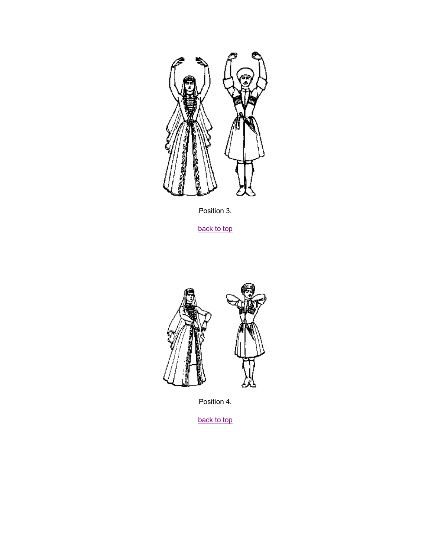

Position 3.

[back to](http://adighastory.tripod.com/dance/positionhands.htm) top



Position 4.

[back to](http://adighastory.tripod.com/dance/positionhands.htm) top